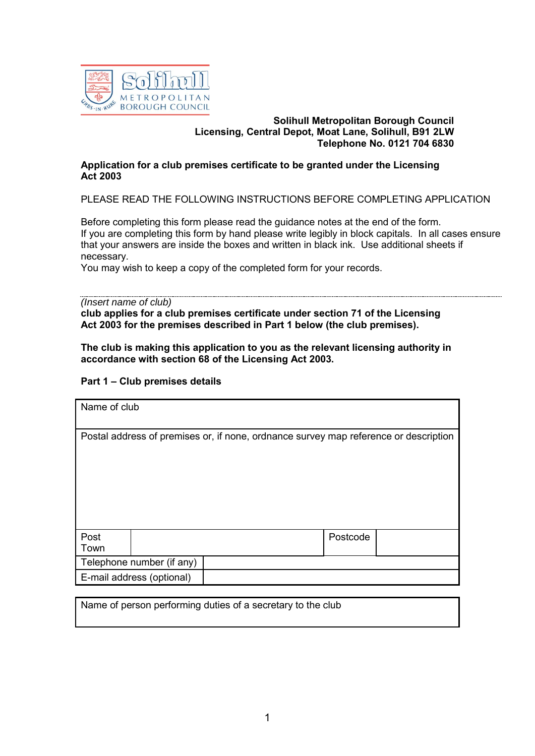

#### **Solihull Metropolitan Borough Council Licensing, Central Depot, Moat Lane, Solihull, B91 2LW Telephone No. 0121 704 6830**

### **Application for a club premises certificate to be granted under the Licensing Act 2003**

PLEASE READ THE FOLLOWING INSTRUCTIONS BEFORE COMPLETING APPLICATION

Before completing this form please read the guidance notes at the end of the form. If you are completing this form by hand please write legibly in block capitals. In all cases ensure that your answers are inside the boxes and written in black ink. Use additional sheets if necessary.

You may wish to keep a copy of the completed form for your records.

#### *(Insert name of club)*

**club applies for a club premises certificate under section 71 of the Licensing Act 2003 for the premises described in Part 1 below (the club premises).**

**The club is making this application to you as the relevant licensing authority in accordance with section 68 of the Licensing Act 2003.** 

### **Part 1 – Club premises details**

| Name of club |                           |                                                                                      |          |  |
|--------------|---------------------------|--------------------------------------------------------------------------------------|----------|--|
|              |                           | Postal address of premises or, if none, ordnance survey map reference or description |          |  |
| Post<br>Town |                           |                                                                                      | Postcode |  |
|              | Telephone number (if any) |                                                                                      |          |  |
|              | E-mail address (optional) |                                                                                      |          |  |

Name of person performing duties of a secretary to the club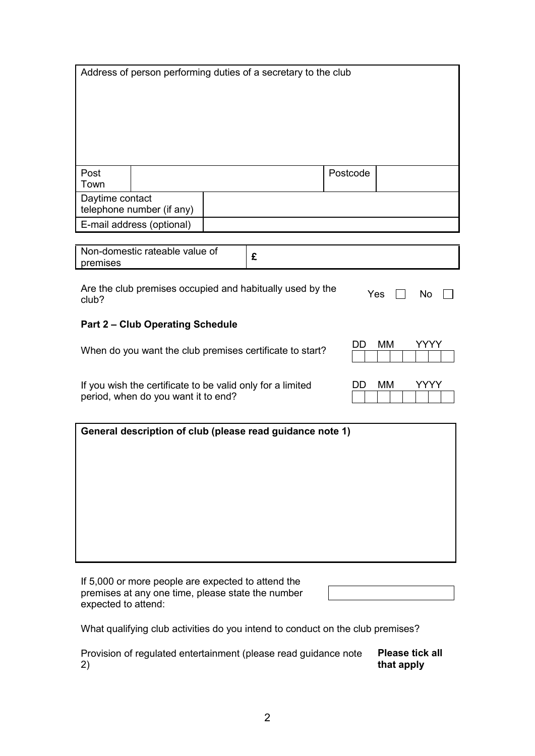|                 |                                                                                                   | Address of person performing duties of a secretary to the club |          |                   |
|-----------------|---------------------------------------------------------------------------------------------------|----------------------------------------------------------------|----------|-------------------|
|                 |                                                                                                   |                                                                |          |                   |
|                 |                                                                                                   |                                                                |          |                   |
| Post<br>Town    |                                                                                                   |                                                                | Postcode |                   |
| Daytime contact | telephone number (if any)                                                                         |                                                                |          |                   |
|                 | E-mail address (optional)                                                                         |                                                                |          |                   |
| premises        | Non-domestic rateable value of                                                                    | £                                                              |          |                   |
| club?           |                                                                                                   | Are the club premises occupied and habitually used by the      |          | Yes<br>No         |
|                 | <b>Part 2 - Club Operating Schedule</b>                                                           |                                                                |          |                   |
|                 |                                                                                                   | When do you want the club premises certificate to start?       | DD       | <b>MM</b><br>YYYY |
|                 | If you wish the certificate to be valid only for a limited<br>period, when do you want it to end? |                                                                | DD.      | МM<br>YYYY        |
|                 |                                                                                                   | General description of club (please read guidance note 1)      |          |                   |
|                 |                                                                                                   |                                                                |          |                   |
|                 |                                                                                                   |                                                                |          |                   |
|                 |                                                                                                   |                                                                |          |                   |
|                 |                                                                                                   |                                                                |          |                   |
|                 |                                                                                                   |                                                                |          |                   |

If 5,000 or more people are expected to attend the premises at any one time, please state the number expected to attend:

What qualifying club activities do you intend to conduct on the club premises?

| Provision of regulated entertainment (please read guidance note | Please tick all |
|-----------------------------------------------------------------|-----------------|
| 2)                                                              | that apply      |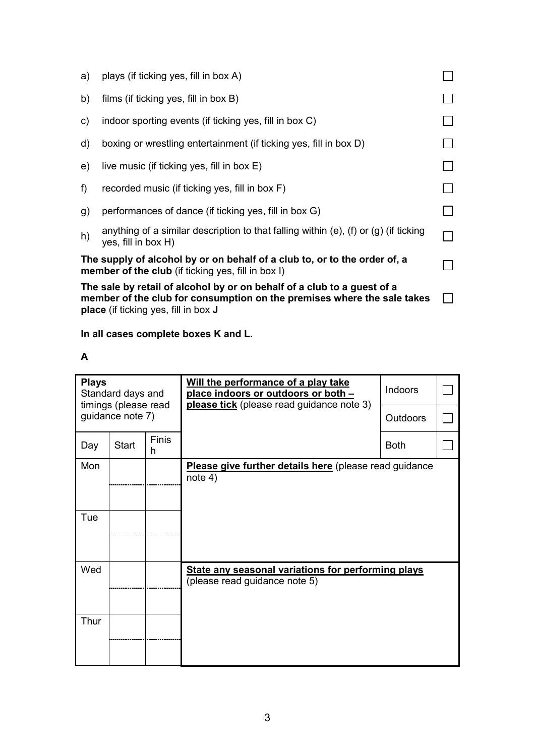| d)                                                                                                                                                                                                       | boxing or wrestling entertainment (if ticking yes, fill in box D)                                                                      |  |  |  |  |
|----------------------------------------------------------------------------------------------------------------------------------------------------------------------------------------------------------|----------------------------------------------------------------------------------------------------------------------------------------|--|--|--|--|
| e)<br>f)                                                                                                                                                                                                 | live music (if ticking yes, fill in box E)<br>recorded music (if ticking yes, fill in box F)                                           |  |  |  |  |
| g)                                                                                                                                                                                                       | performances of dance (if ticking yes, fill in box G)                                                                                  |  |  |  |  |
| h)                                                                                                                                                                                                       | anything of a similar description to that falling within $(e)$ , $(f)$ or $(g)$ (if ticking<br>yes, fill in box H)                     |  |  |  |  |
|                                                                                                                                                                                                          | The supply of alcohol by or on behalf of a club to, or to the order of, a<br><b>member of the club</b> (if ticking yes, fill in box I) |  |  |  |  |
| The sale by retail of alcohol by or on behalf of a club to a guest of a<br>member of the club for consumption on the premises where the sale takes<br><b>place</b> (if ticking yes, fill in box <b>J</b> |                                                                                                                                        |  |  |  |  |

# **In all cases complete boxes K and L.**

| . . |  |
|-----|--|
|     |  |

| <b>Plays</b><br>Standard days and<br>timings (please read |                  |                   | Will the performance of a play take<br>place indoors or outdoors or both -<br>please tick (please read guidance note 3) | Indoors         |  |
|-----------------------------------------------------------|------------------|-------------------|-------------------------------------------------------------------------------------------------------------------------|-----------------|--|
|                                                           | guidance note 7) |                   |                                                                                                                         | <b>Outdoors</b> |  |
| Day                                                       | <b>Start</b>     | <b>Finis</b><br>h |                                                                                                                         | <b>Both</b>     |  |
| Mon                                                       |                  |                   | Please give further details here (please read guidance<br>note 4)                                                       |                 |  |
| Tue                                                       |                  |                   |                                                                                                                         |                 |  |
| Wed                                                       |                  |                   | State any seasonal variations for performing plays<br>(please read guidance note 5)                                     |                 |  |
| Thur                                                      |                  |                   |                                                                                                                         |                 |  |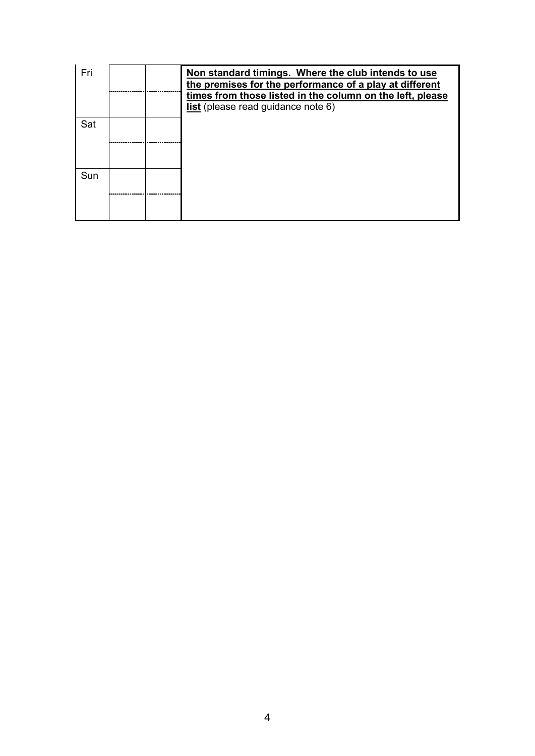| Fri |  | Non standard timings. Where the club intends to use<br>the premises for the performance of a play at different<br>times from those listed in the column on the left, please<br>list (please read guidance note 6) |
|-----|--|-------------------------------------------------------------------------------------------------------------------------------------------------------------------------------------------------------------------|
| Sat |  |                                                                                                                                                                                                                   |
| Sun |  |                                                                                                                                                                                                                   |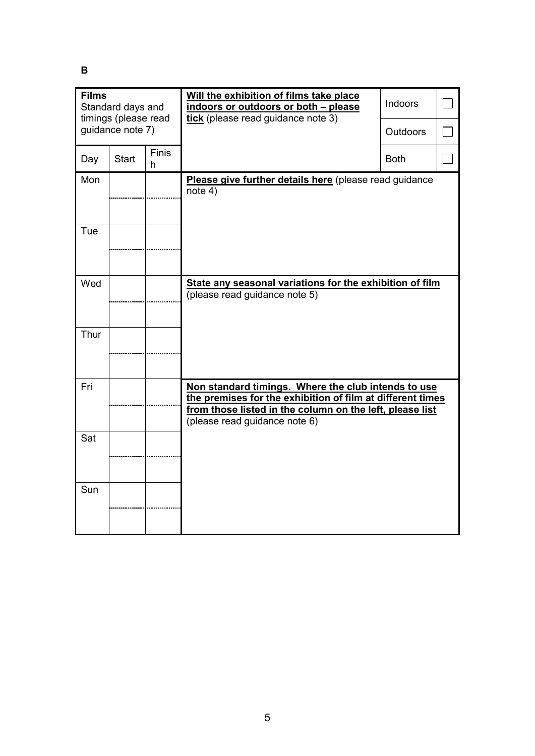**B** 

| <b>Films</b><br>Standard days and<br>timings (please read |                  |                   | Will the exhibition of films take place<br>indoors or outdoors or both - please<br>tick (please read guidance note 3)                                                                                          | Indoors         |  |
|-----------------------------------------------------------|------------------|-------------------|----------------------------------------------------------------------------------------------------------------------------------------------------------------------------------------------------------------|-----------------|--|
|                                                           | quidance note 7) |                   |                                                                                                                                                                                                                | <b>Outdoors</b> |  |
| Day                                                       | <b>Start</b>     | <b>Finis</b><br>h |                                                                                                                                                                                                                | <b>Both</b>     |  |
| Mon                                                       |                  |                   | Please give further details here (please read guidance<br>note 4)                                                                                                                                              |                 |  |
| Tue                                                       |                  |                   |                                                                                                                                                                                                                |                 |  |
| Wed                                                       |                  |                   | State any seasonal variations for the exhibition of film<br>(please read guidance note 5)                                                                                                                      |                 |  |
| Thur                                                      |                  |                   |                                                                                                                                                                                                                |                 |  |
| Fri                                                       |                  |                   | Non standard timings. Where the club intends to use<br>the premises for the exhibition of film at different times<br>from those listed in the column on the left, please list<br>(please read guidance note 6) |                 |  |
| Sat                                                       |                  |                   |                                                                                                                                                                                                                |                 |  |
| Sun                                                       |                  |                   |                                                                                                                                                                                                                |                 |  |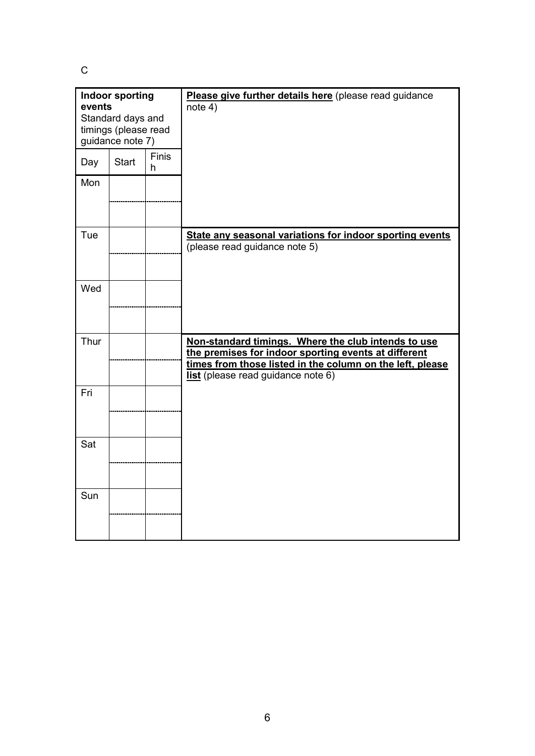C

| <b>Indoor sporting</b><br>events<br>Standard days and<br>timings (please read<br>guidance note 7) |              |            | Please give further details here (please read guidance<br>note 4)                                                                                                                                                     |
|---------------------------------------------------------------------------------------------------|--------------|------------|-----------------------------------------------------------------------------------------------------------------------------------------------------------------------------------------------------------------------|
| Day                                                                                               | <b>Start</b> | Finis<br>h |                                                                                                                                                                                                                       |
| Mon                                                                                               |              |            |                                                                                                                                                                                                                       |
| Tue                                                                                               |              |            | State any seasonal variations for indoor sporting events<br>(please read guidance note 5)                                                                                                                             |
| Wed                                                                                               |              |            |                                                                                                                                                                                                                       |
| Thur                                                                                              |              |            | Non-standard timings. Where the club intends to use<br>the premises for indoor sporting events at different<br>times from those listed in the column on the left, please<br><b>list</b> (please read guidance note 6) |
| Fri                                                                                               |              |            |                                                                                                                                                                                                                       |
| Sat                                                                                               |              |            |                                                                                                                                                                                                                       |
| Sun                                                                                               |              |            |                                                                                                                                                                                                                       |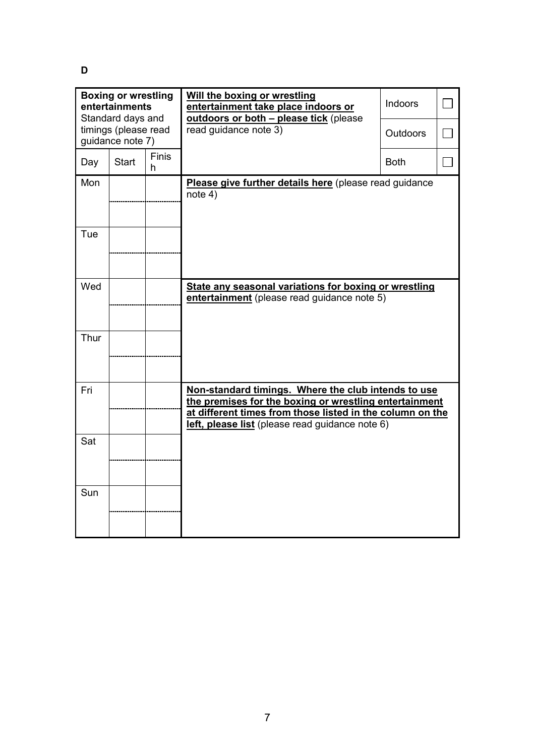**D** 

| <b>Boxing or wrestling</b><br>entertainments<br>Standard days and<br>timings (please read |                  |                   | Will the boxing or wrestling<br>entertainment take place indoors or<br>outdoors or both - please tick (please<br>read guidance note 3)                                                                                        | <b>Indoors</b><br><b>Outdoors</b> |  |
|-------------------------------------------------------------------------------------------|------------------|-------------------|-------------------------------------------------------------------------------------------------------------------------------------------------------------------------------------------------------------------------------|-----------------------------------|--|
|                                                                                           | guidance note 7) |                   |                                                                                                                                                                                                                               |                                   |  |
| Day                                                                                       | <b>Start</b>     | <b>Finis</b><br>h |                                                                                                                                                                                                                               | <b>Both</b>                       |  |
| Mon                                                                                       |                  |                   | Please give further details here (please read guidance<br>note 4)                                                                                                                                                             |                                   |  |
| Tue                                                                                       |                  |                   |                                                                                                                                                                                                                               |                                   |  |
| Wed                                                                                       |                  |                   | State any seasonal variations for boxing or wrestling<br>entertainment (please read guidance note 5)                                                                                                                          |                                   |  |
| Thur                                                                                      |                  |                   |                                                                                                                                                                                                                               |                                   |  |
| Fri                                                                                       |                  |                   | Non-standard timings. Where the club intends to use<br>the premises for the boxing or wrestling entertainment<br>at different times from those listed in the column on the<br>left, please list (please read guidance note 6) |                                   |  |
| Sat                                                                                       |                  |                   |                                                                                                                                                                                                                               |                                   |  |
| Sun                                                                                       |                  |                   |                                                                                                                                                                                                                               |                                   |  |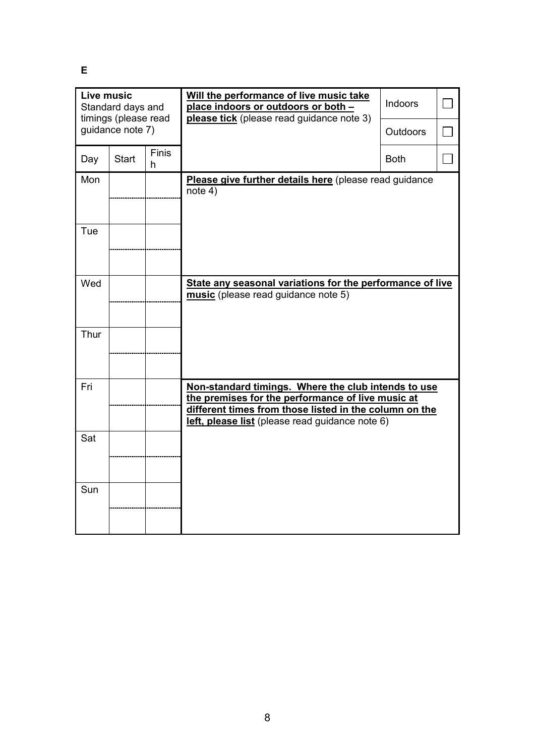**E** 

| Live music<br>Standard days and<br>timings (please read |              |                   | Will the performance of live music take<br>place indoors or outdoors or both -<br>please tick (please read guidance note 3)                                                                                           | <b>Indoors</b>  |  |
|---------------------------------------------------------|--------------|-------------------|-----------------------------------------------------------------------------------------------------------------------------------------------------------------------------------------------------------------------|-----------------|--|
| guidance note 7)                                        |              |                   |                                                                                                                                                                                                                       | <b>Outdoors</b> |  |
| Day                                                     | <b>Start</b> | <b>Finis</b><br>h |                                                                                                                                                                                                                       | <b>Both</b>     |  |
| Mon                                                     |              |                   | Please give further details here (please read guidance<br>note 4)                                                                                                                                                     |                 |  |
| Tue                                                     |              |                   |                                                                                                                                                                                                                       |                 |  |
| Wed                                                     |              |                   | State any seasonal variations for the performance of live<br>music (please read guidance note 5)                                                                                                                      |                 |  |
| Thur                                                    |              |                   |                                                                                                                                                                                                                       |                 |  |
| Fri                                                     |              |                   | Non-standard timings. Where the club intends to use<br>the premises for the performance of live music at<br>different times from those listed in the column on the<br>left, please list (please read guidance note 6) |                 |  |
| Sat                                                     |              |                   |                                                                                                                                                                                                                       |                 |  |
| Sun                                                     |              |                   |                                                                                                                                                                                                                       |                 |  |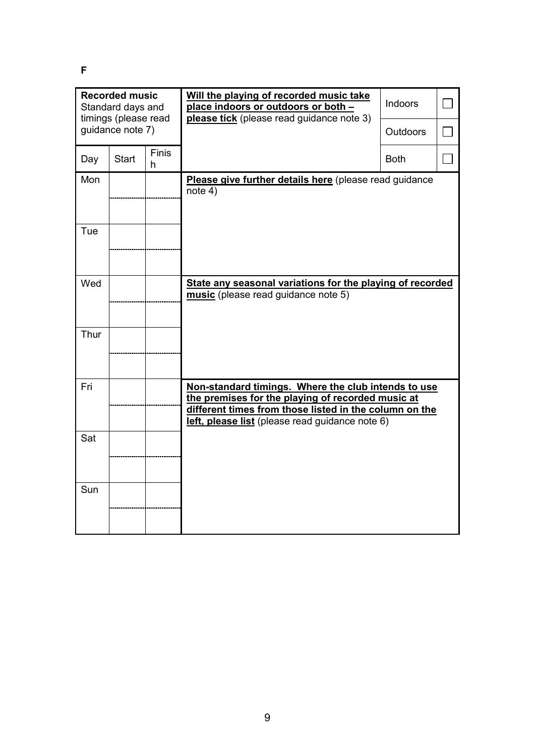**F** 

| <b>Recorded music</b><br>Standard days and<br>timings (please read |              |                   | Will the playing of recorded music take<br>place indoors or outdoors or both -<br>please tick (please read guidance note 3)                                                                                           | <b>Indoors</b>  |  |
|--------------------------------------------------------------------|--------------|-------------------|-----------------------------------------------------------------------------------------------------------------------------------------------------------------------------------------------------------------------|-----------------|--|
| guidance note 7)                                                   |              |                   |                                                                                                                                                                                                                       | <b>Outdoors</b> |  |
| Day                                                                | <b>Start</b> | <b>Finis</b><br>h |                                                                                                                                                                                                                       | <b>Both</b>     |  |
| Mon                                                                |              |                   | Please give further details here (please read guidance<br>note 4)                                                                                                                                                     |                 |  |
| Tue                                                                |              |                   |                                                                                                                                                                                                                       |                 |  |
| Wed                                                                |              |                   | State any seasonal variations for the playing of recorded<br>music (please read guidance note 5)                                                                                                                      |                 |  |
| Thur                                                               |              |                   |                                                                                                                                                                                                                       |                 |  |
| Fri                                                                |              |                   | Non-standard timings. Where the club intends to use<br>the premises for the playing of recorded music at<br>different times from those listed in the column on the<br>left, please list (please read guidance note 6) |                 |  |
| Sat                                                                |              |                   |                                                                                                                                                                                                                       |                 |  |
| Sun                                                                |              |                   |                                                                                                                                                                                                                       |                 |  |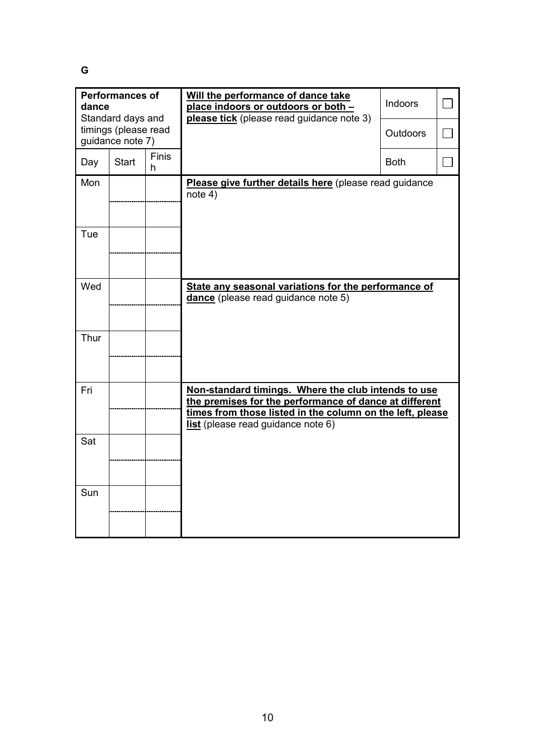**G** 

| <b>Performances of</b><br>dance<br>Standard days and |              |                   | Will the performance of dance take<br>place indoors or outdoors or both -<br>please tick (please read guidance note 3)                                                                                           | Indoors         |  |
|------------------------------------------------------|--------------|-------------------|------------------------------------------------------------------------------------------------------------------------------------------------------------------------------------------------------------------|-----------------|--|
| timings (please read<br>guidance note 7)             |              |                   |                                                                                                                                                                                                                  | <b>Outdoors</b> |  |
| Day                                                  | <b>Start</b> | <b>Finis</b><br>h |                                                                                                                                                                                                                  | <b>Both</b>     |  |
| Mon                                                  |              |                   | Please give further details here (please read guidance<br>note 4)                                                                                                                                                |                 |  |
| Tue                                                  |              |                   |                                                                                                                                                                                                                  |                 |  |
| Wed                                                  |              |                   | State any seasonal variations for the performance of<br>dance (please read guidance note 5)                                                                                                                      |                 |  |
| Thur                                                 |              |                   |                                                                                                                                                                                                                  |                 |  |
| Fri                                                  |              |                   | Non-standard timings. Where the club intends to use<br>the premises for the performance of dance at different<br>times from those listed in the column on the left, please<br>list (please read guidance note 6) |                 |  |
| Sat                                                  |              |                   |                                                                                                                                                                                                                  |                 |  |
| Sun                                                  |              |                   |                                                                                                                                                                                                                  |                 |  |
|                                                      |              |                   |                                                                                                                                                                                                                  |                 |  |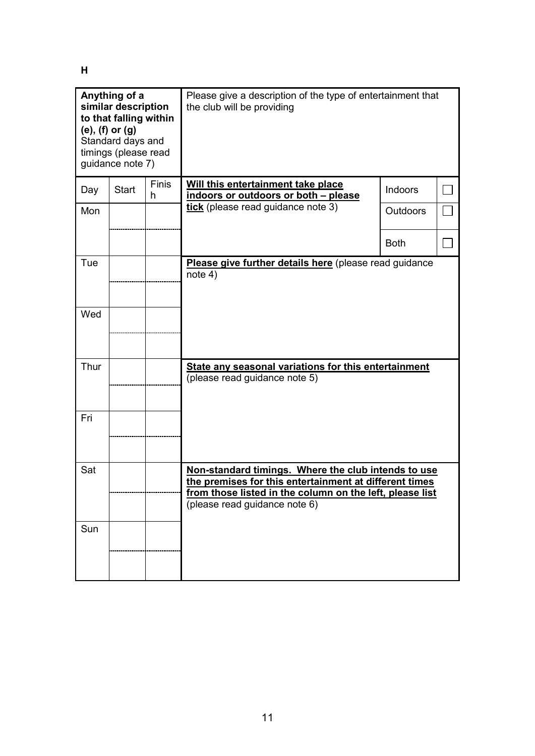**H** 

| Anything of a<br>similar description<br>to that falling within<br>$(e)$ , $(f)$ or $(g)$<br>Standard days and<br>timings (please read<br>guidance note 7) |              |                   | Please give a description of the type of entertainment that<br>the club will be providing                                                                                                                  |                 |  |
|-----------------------------------------------------------------------------------------------------------------------------------------------------------|--------------|-------------------|------------------------------------------------------------------------------------------------------------------------------------------------------------------------------------------------------------|-----------------|--|
| Day                                                                                                                                                       | <b>Start</b> | <b>Finis</b><br>h | Will this entertainment take place<br>indoors or outdoors or both - please                                                                                                                                 | Indoors         |  |
| Mon                                                                                                                                                       |              |                   | tick (please read guidance note 3)                                                                                                                                                                         | <b>Outdoors</b> |  |
|                                                                                                                                                           |              |                   |                                                                                                                                                                                                            | <b>Both</b>     |  |
| Tue                                                                                                                                                       |              |                   | Please give further details here (please read guidance<br>note 4)                                                                                                                                          |                 |  |
| Wed                                                                                                                                                       |              |                   |                                                                                                                                                                                                            |                 |  |
| Thur                                                                                                                                                      |              |                   | <b>State any seasonal variations for this entertainment</b><br>(please read guidance note 5)                                                                                                               |                 |  |
| Fri                                                                                                                                                       |              |                   |                                                                                                                                                                                                            |                 |  |
| Sat                                                                                                                                                       |              |                   | Non-standard timings. Where the club intends to use<br>the premises for this entertainment at different times<br>from those listed in the column on the left, please list<br>(please read guidance note 6) |                 |  |
| Sun                                                                                                                                                       |              |                   |                                                                                                                                                                                                            |                 |  |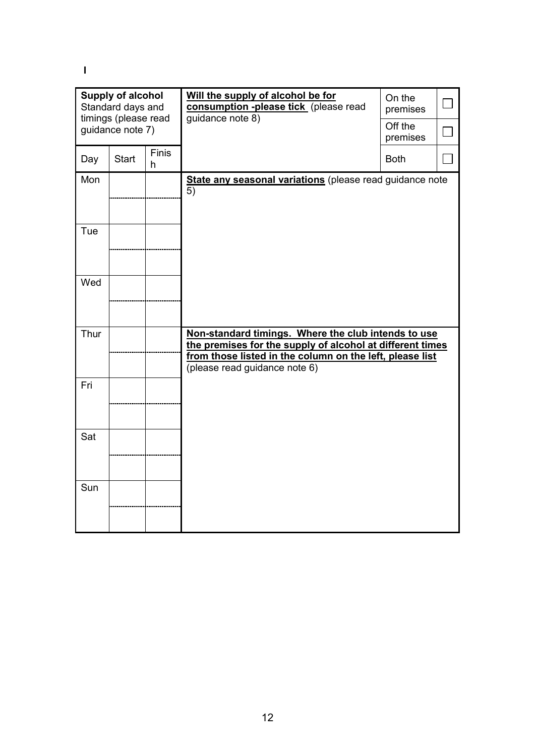**I** 

| <b>Supply of alcohol</b><br>Standard days and<br>timings (please read<br>guidance note 7) |       |            | Will the supply of alcohol be for<br>consumption -please tick (please read<br>guidance note 8)                                                                                                                | On the<br>premises<br>Off the<br>premises |  |
|-------------------------------------------------------------------------------------------|-------|------------|---------------------------------------------------------------------------------------------------------------------------------------------------------------------------------------------------------------|-------------------------------------------|--|
| Day                                                                                       | Start | Finis<br>h |                                                                                                                                                                                                               | <b>Both</b>                               |  |
| Mon                                                                                       |       |            | State any seasonal variations (please read guidance note<br>5)                                                                                                                                                |                                           |  |
| Tue                                                                                       |       |            |                                                                                                                                                                                                               |                                           |  |
| Wed                                                                                       |       |            |                                                                                                                                                                                                               |                                           |  |
| Thur                                                                                      |       |            | Non-standard timings. Where the club intends to use<br>the premises for the supply of alcohol at different times<br>from those listed in the column on the left, please list<br>(please read guidance note 6) |                                           |  |
| Fri                                                                                       |       |            |                                                                                                                                                                                                               |                                           |  |
| Sat                                                                                       |       |            |                                                                                                                                                                                                               |                                           |  |
| Sun                                                                                       |       |            |                                                                                                                                                                                                               |                                           |  |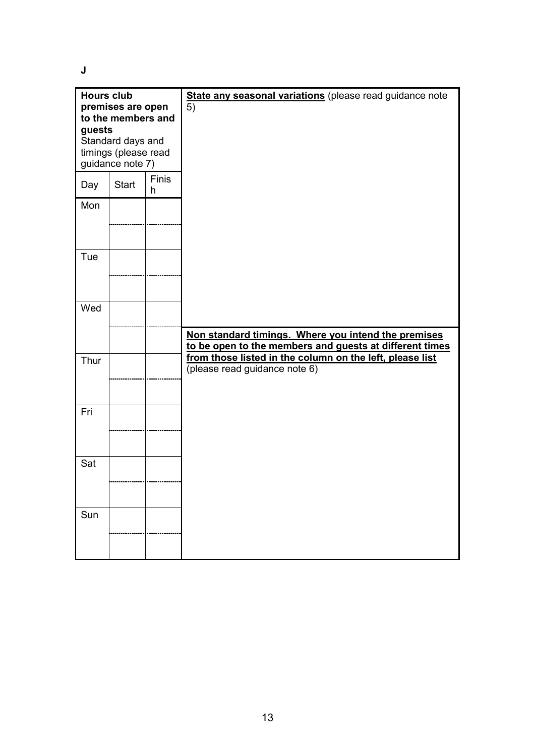**J** 

| <b>Hours club</b><br>premises are open<br>to the members and<br>guests<br>Standard days and<br>timings (please read<br>guidance note 7) |              |                   | State any seasonal variations (please read guidance note<br>5)                                                                                       |
|-----------------------------------------------------------------------------------------------------------------------------------------|--------------|-------------------|------------------------------------------------------------------------------------------------------------------------------------------------------|
| Day                                                                                                                                     | <b>Start</b> | <b>Finis</b><br>h |                                                                                                                                                      |
| Mon                                                                                                                                     |              |                   |                                                                                                                                                      |
| Tue                                                                                                                                     |              |                   |                                                                                                                                                      |
| Wed                                                                                                                                     |              |                   | Non standard timings. Where you intend the premises                                                                                                  |
| Thur                                                                                                                                    |              |                   | to be open to the members and guests at different times<br>from those listed in the column on the left, please list<br>(please read guidance note 6) |
| Fri                                                                                                                                     |              |                   |                                                                                                                                                      |
| Sat                                                                                                                                     |              |                   |                                                                                                                                                      |
| Sun                                                                                                                                     |              |                   |                                                                                                                                                      |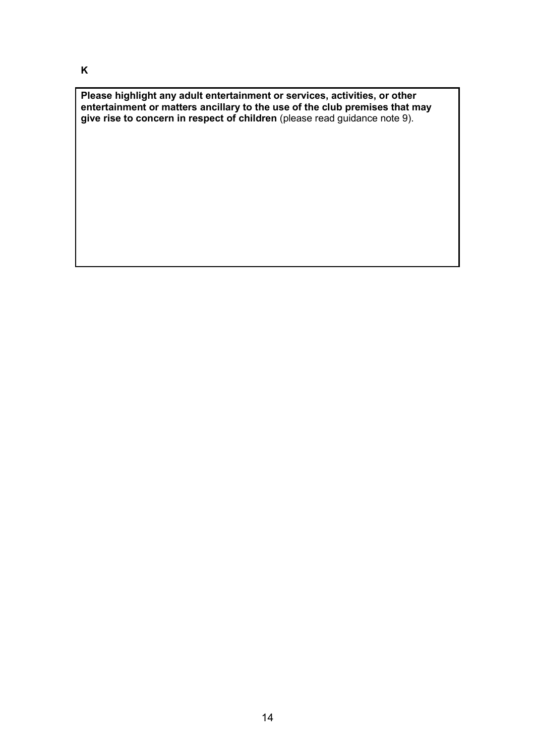**Please highlight any adult entertainment or services, activities, or other entertainment or matters ancillary to the use of the club premises that may give rise to concern in respect of children** (please read guidance note 9).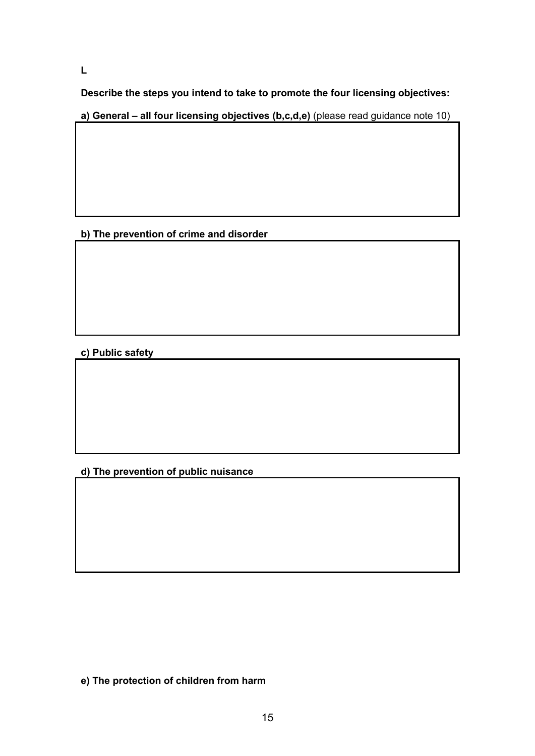**L** 

**Describe the steps you intend to take to promote the four licensing objectives:**

**a) General – all four licensing objectives (b,c,d,e)** (please read guidance note 10)

**b) The prevention of crime and disorder** 

**c) Public safety** 

**d) The prevention of public nuisance** 

**e) The protection of children from harm**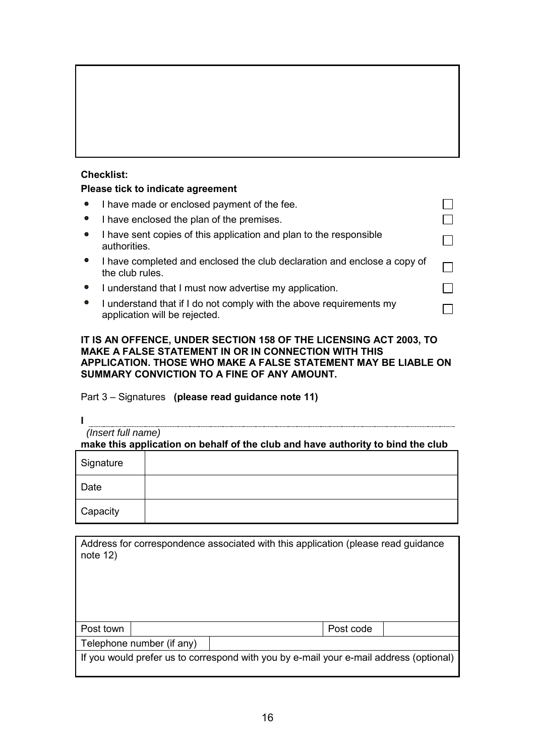# **Checklist:**

## **Please tick to indicate agreement**

|           | I have made or enclosed payment of the fee.                                                          |  |
|-----------|------------------------------------------------------------------------------------------------------|--|
| $\bullet$ | I have enclosed the plan of the premises.                                                            |  |
| $\bullet$ | I have sent copies of this application and plan to the responsible<br>authorities.                   |  |
| $\bullet$ | I have completed and enclosed the club declaration and enclose a copy of<br>the club rules.          |  |
|           | I understand that I must now advertise my application.                                               |  |
|           | I understand that if I do not comply with the above requirements my<br>application will be rejected. |  |

### **IT IS AN OFFENCE, UNDER SECTION 158 OF THE LICENSING ACT 2003, TO MAKE A FALSE STATEMENT IN OR IN CONNECTION WITH THIS APPLICATION. THOSE WHO MAKE A FALSE STATEMENT MAY BE LIABLE ON SUMMARY CONVICTION TO A FINE OF ANY AMOUNT.**

# Part 3 – Signatures **(please read guidance note 11)**

**I**

 *(Insert full name)* **make this application on behalf of the club and have authority to bind the club**

| Signature |  |
|-----------|--|
| Date      |  |
| Capacity  |  |

| note $12$ )                                                                            |  | Address for correspondence associated with this application (please read guidance |  |  |  |
|----------------------------------------------------------------------------------------|--|-----------------------------------------------------------------------------------|--|--|--|
| Post town                                                                              |  | Post code                                                                         |  |  |  |
| Telephone number (if any)                                                              |  |                                                                                   |  |  |  |
| If you would prefer us to correspond with you by e-mail your e-mail address (optional) |  |                                                                                   |  |  |  |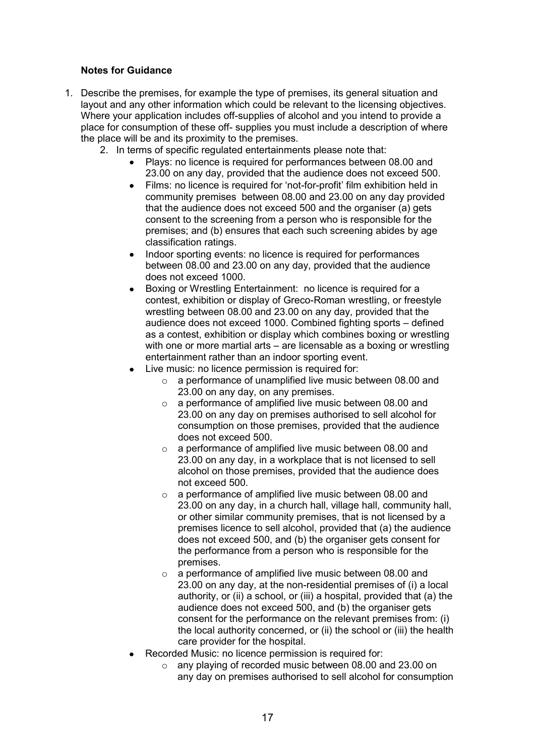## **Notes for Guidance**

- 1. Describe the premises, for example the type of premises, its general situation and layout and any other information which could be relevant to the licensing objectives. Where your application includes off-supplies of alcohol and you intend to provide a place for consumption of these off- supplies you must include a description of where the place will be and its proximity to the premises.
	- 2. In terms of specific regulated entertainments please note that:
		- Plays: no licence is required for performances between 08.00 and 23.00 on any day, provided that the audience does not exceed 500.
		- Films: no licence is required for 'not-for-profit' film exhibition held in community premises between 08.00 and 23.00 on any day provided that the audience does not exceed 500 and the organiser (a) gets consent to the screening from a person who is responsible for the premises; and (b) ensures that each such screening abides by age classification ratings.
		- Indoor sporting events: no licence is required for performances between 08.00 and 23.00 on any day, provided that the audience does not exceed 1000.
		- Boxing or Wrestling Entertainment: no licence is required for a contest, exhibition or display of Greco-Roman wrestling, or freestyle wrestling between 08.00 and 23.00 on any day, provided that the audience does not exceed 1000. Combined fighting sports – defined as a contest, exhibition or display which combines boxing or wrestling with one or more martial arts – are licensable as a boxing or wrestling entertainment rather than an indoor sporting event.
		- Live music: no licence permission is required for:
			- o a performance of unamplified live music between 08.00 and 23.00 on any day, on any premises.
			- $\circ$  a performance of amplified live music between 08.00 and 23.00 on any day on premises authorised to sell alcohol for consumption on those premises, provided that the audience does not exceed 500.
			- $\circ$  a performance of amplified live music between 08.00 and 23.00 on any day, in a workplace that is not licensed to sell alcohol on those premises, provided that the audience does not exceed 500.
			- o a performance of amplified live music between 08.00 and 23.00 on any day, in a church hall, village hall, community hall, or other similar community premises, that is not licensed by a premises licence to sell alcohol, provided that (a) the audience does not exceed 500, and (b) the organiser gets consent for the performance from a person who is responsible for the premises.
			- o a performance of amplified live music between 08.00 and 23.00 on any day, at the non-residential premises of (i) a local authority, or (ii) a school, or (iii) a hospital, provided that (a) the audience does not exceed 500, and (b) the organiser gets consent for the performance on the relevant premises from: (i) the local authority concerned, or (ii) the school or (iii) the health care provider for the hospital.
		- Recorded Music: no licence permission is required for:
			- o any playing of recorded music between 08.00 and 23.00 on any day on premises authorised to sell alcohol for consumption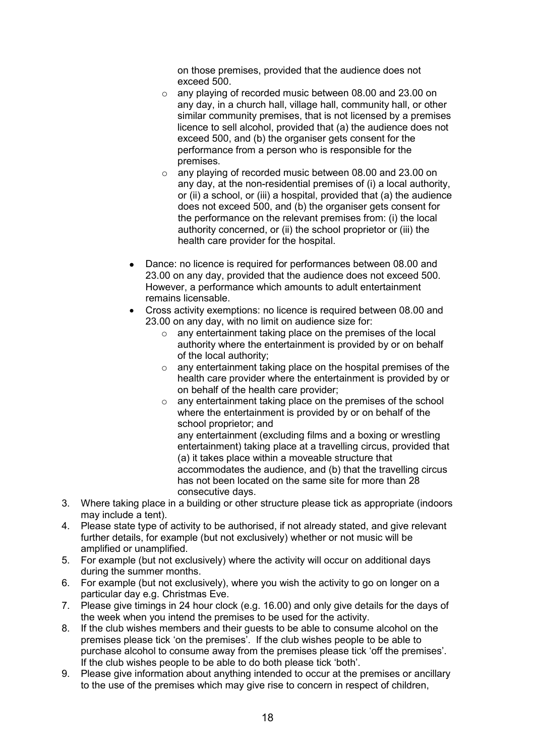on those premises, provided that the audience does not exceed 500.

- o any playing of recorded music between 08.00 and 23.00 on any day, in a church hall, village hall, community hall, or other similar community premises, that is not licensed by a premises licence to sell alcohol, provided that (a) the audience does not exceed 500, and (b) the organiser gets consent for the performance from a person who is responsible for the premises.
- o any playing of recorded music between 08.00 and 23.00 on any day, at the non-residential premises of (i) a local authority, or (ii) a school, or (iii) a hospital, provided that (a) the audience does not exceed 500, and (b) the organiser gets consent for the performance on the relevant premises from: (i) the local authority concerned, or (ii) the school proprietor or (iii) the health care provider for the hospital.
- Dance: no licence is required for performances between 08.00 and 23.00 on any day, provided that the audience does not exceed 500. However, a performance which amounts to adult entertainment remains licensable.
- Cross activity exemptions: no licence is required between 08.00 and 23.00 on any day, with no limit on audience size for:
	- o any entertainment taking place on the premises of the local authority where the entertainment is provided by or on behalf of the local authority;
	- o any entertainment taking place on the hospital premises of the health care provider where the entertainment is provided by or on behalf of the health care provider;
	- o any entertainment taking place on the premises of the school where the entertainment is provided by or on behalf of the school proprietor; and any entertainment (excluding films and a boxing or wrestling entertainment) taking place at a travelling circus, provided that (a) it takes place within a moveable structure that accommodates the audience, and (b) that the travelling circus

has not been located on the same site for more than 28 consecutive days.

- 3. Where taking place in a building or other structure please tick as appropriate (indoors may include a tent).
- 4. Please state type of activity to be authorised, if not already stated, and give relevant further details, for example (but not exclusively) whether or not music will be amplified or unamplified.
- 5. For example (but not exclusively) where the activity will occur on additional days during the summer months.
- 6. For example (but not exclusively), where you wish the activity to go on longer on a particular day e.g. Christmas Eve.
- 7. Please give timings in 24 hour clock (e.g. 16.00) and only give details for the days of the week when you intend the premises to be used for the activity.
- 8. If the club wishes members and their guests to be able to consume alcohol on the premises please tick 'on the premises'. If the club wishes people to be able to purchase alcohol to consume away from the premises please tick 'off the premises'. If the club wishes people to be able to do both please tick 'both'.
- 9. Please give information about anything intended to occur at the premises or ancillary to the use of the premises which may give rise to concern in respect of children,